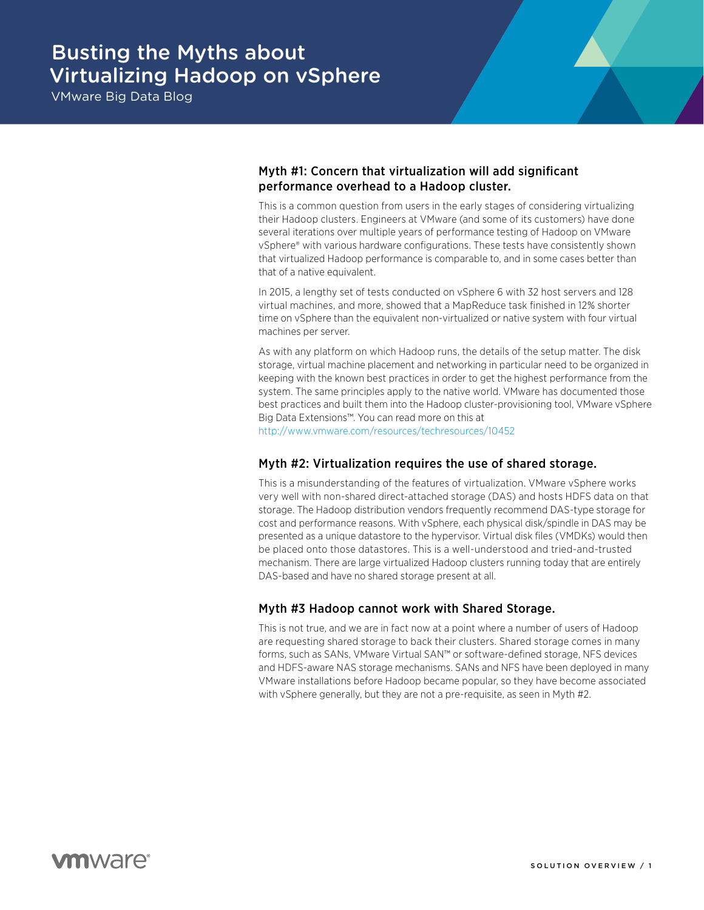# Busting the Myths about Virtualizing Hadoop on vSphere

VMware Big Data Blog

# Myth #1: Concern that virtualization will add significant performance overhead to a Hadoop cluster.

This is a common question from users in the early stages of considering virtualizing their Hadoop clusters. Engineers at VMware (and some of its customers) have done several iterations over multiple years of performance testing of Hadoop on VMware vSphere® with various hardware configurations. These tests have consistently shown that virtualized Hadoop performance is comparable to, and in some cases better than that of a native equivalent.

In 2015, a lengthy set of tests conducted on vSphere 6 with 32 host servers and 128 virtual machines, and more, showed that a MapReduce task finished in 12% shorter time on vSphere than the equivalent non-virtualized or native system with four virtual machines per server.

As with any platform on which Hadoop runs, the details of the setup matter. The disk storage, virtual machine placement and networking in particular need to be organized in keeping with the known best practices in order to get the highest performance from the system. The same principles apply to the native world. VMware has documented those best practices and built them into the Hadoop cluster-provisioning tool, VMware vSphere Big Data Extensions™. You can read more on this at

<http://www.vmware.com/resources/techresources/10452>

# Myth #2: Virtualization requires the use of shared storage.

This is a misunderstanding of the features of virtualization. VMware vSphere works very well with non-shared direct-attached storage (DAS) and hosts HDFS data on that storage. The Hadoop distribution vendors frequently recommend DAS-type storage for cost and performance reasons. With vSphere, each physical disk/spindle in DAS may be presented as a unique datastore to the hypervisor. Virtual disk files (VMDKs) would then be placed onto those datastores. This is a well-understood and tried-and-trusted mechanism. There are large virtualized Hadoop clusters running today that are entirely DAS-based and have no shared storage present at all.

# Myth #3 Hadoop cannot work with Shared Storage.

This is not true, and we are in fact now at a point where a number of users of Hadoop are requesting shared storage to back their clusters. Shared storage comes in many forms, such as SANs, VMware Virtual SAN™ or software-defined storage, NFS devices and HDFS-aware NAS storage mechanisms. SANs and NFS have been deployed in many VMware installations before Hadoop became popular, so they have become associated with vSphere generally, but they are not a pre-requisite, as seen in Myth #2.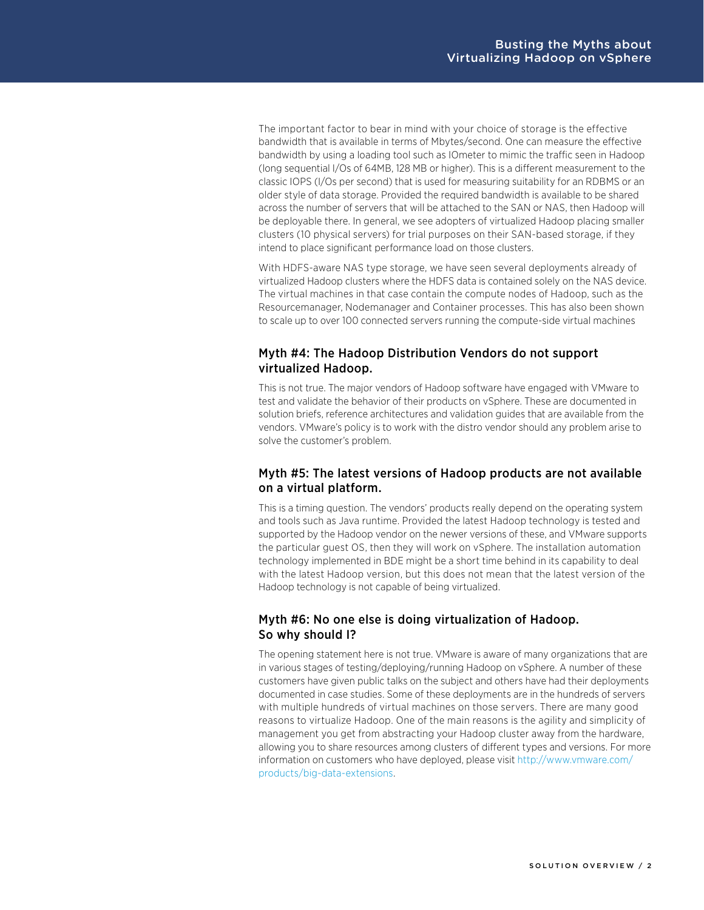The important factor to bear in mind with your choice of storage is the effective bandwidth that is available in terms of Mbytes/second. One can measure the effective bandwidth by using a loading tool such as IOmeter to mimic the traffic seen in Hadoop (long sequential I/Os of 64MB, 128 MB or higher). This is a different measurement to the classic IOPS (I/Os per second) that is used for measuring suitability for an RDBMS or an older style of data storage. Provided the required bandwidth is available to be shared across the number of servers that will be attached to the SAN or NAS, then Hadoop will be deployable there. In general, we see adopters of virtualized Hadoop placing smaller clusters (10 physical servers) for trial purposes on their SAN-based storage, if they intend to place significant performance load on those clusters.

With HDFS-aware NAS type storage, we have seen several deployments already of virtualized Hadoop clusters where the HDFS data is contained solely on the NAS device. The virtual machines in that case contain the compute nodes of Hadoop, such as the Resourcemanager, Nodemanager and Container processes. This has also been shown to scale up to over 100 connected servers running the compute-side virtual machines

# Myth #4: The Hadoop Distribution Vendors do not support virtualized Hadoop.

This is not true. The major vendors of Hadoop software have engaged with VMware to test and validate the behavior of their products on vSphere. These are documented in solution briefs, reference architectures and validation guides that are available from the vendors. VMware's policy is to work with the distro vendor should any problem arise to solve the customer's problem.

# Myth #5: The latest versions of Hadoop products are not available on a virtual platform.

This is a timing question. The vendors' products really depend on the operating system and tools such as Java runtime. Provided the latest Hadoop technology is tested and supported by the Hadoop vendor on the newer versions of these, and VMware supports the particular guest OS, then they will work on vSphere. The installation automation technology implemented in BDE might be a short time behind in its capability to deal with the latest Hadoop version, but this does not mean that the latest version of the Hadoop technology is not capable of being virtualized.

# Myth #6: No one else is doing virtualization of Hadoop. So why should I?

The opening statement here is not true. VMware is aware of many organizations that are in various stages of testing/deploying/running Hadoop on vSphere. A number of these customers have given public talks on the subject and others have had their deployments documented in case studies. Some of these deployments are in the hundreds of servers with multiple hundreds of virtual machines on those servers. There are many good reasons to virtualize Hadoop. One of the main reasons is the agility and simplicity of management you get from abstracting your Hadoop cluster away from the hardware, allowing you to share resources among clusters of different types and versions. For more information on customers who have deployed, please visit [http://www.vmware.com/](http://www.vmware.com/products/big-data-extensions) [products/big-data-extensions](http://www.vmware.com/products/big-data-extensions).